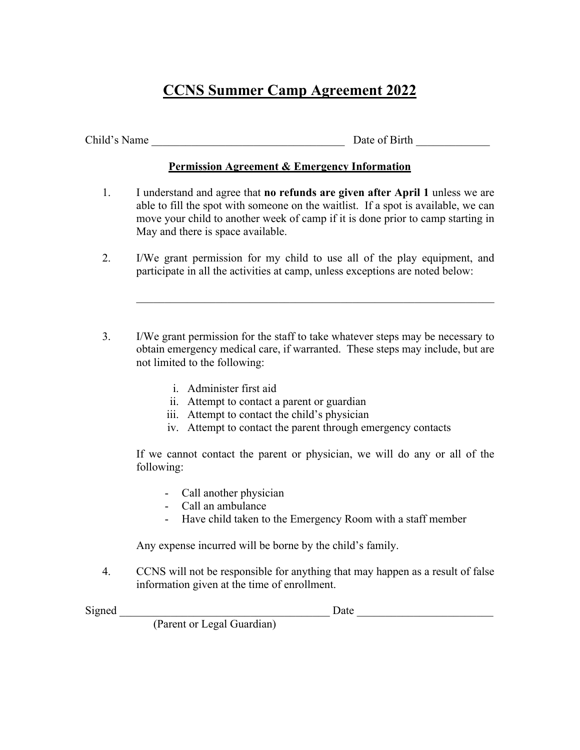## **CCNS Summer Camp Agreement 2022**

Child's Name Date of Birth Date of Birth  $\Box$ 

## **Permission Agreement & Emergency Information**

- 1. I understand and agree that **no refunds are given after April 1** unless we are able to fill the spot with someone on the waitlist. If a spot is available, we can move your child to another week of camp if it is done prior to camp starting in May and there is space available.
- 2. I/We grant permission for my child to use all of the play equipment, and participate in all the activities at camp, unless exceptions are noted below:
- 3. I/We grant permission for the staff to take whatever steps may be necessary to obtain emergency medical care, if warranted. These steps may include, but are not limited to the following:
	- i. Administer first aid
	- ii. Attempt to contact a parent or guardian
	- iii. Attempt to contact the child's physician
	- iv. Attempt to contact the parent through emergency contacts

 If we cannot contact the parent or physician, we will do any or all of the following:

- Call another physician
- Call an ambulance
- Have child taken to the Emergency Room with a staff member

Any expense incurred will be borne by the child's family.

4. CCNS will not be responsible for anything that may happen as a result of false information given at the time of enrollment.

Signed **Example 2** Date **Date Date C** 

(Parent or Legal Guardian)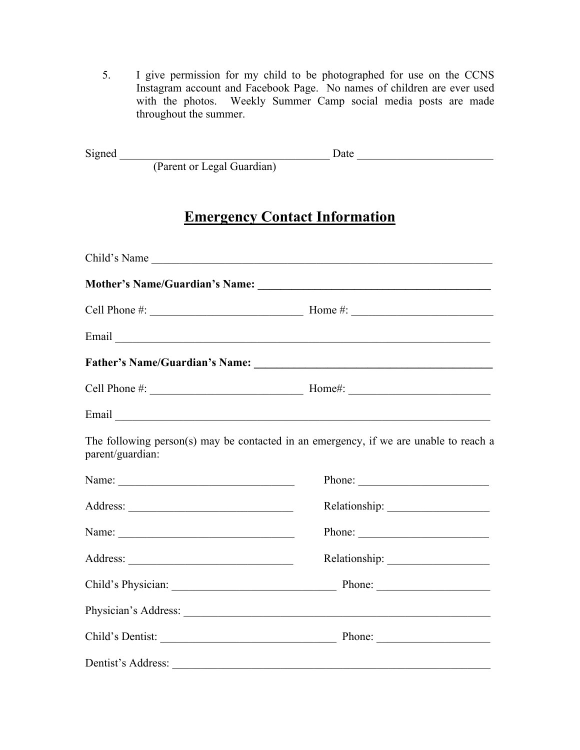5. I give permission for my child to be photographed for use on the CCNS Instagram account and Facebook Page. No names of children are ever used with the photos. Weekly Summer Camp social media posts are made throughout the summer.

| Signed |                            | )ate |  |
|--------|----------------------------|------|--|
|        | (Parent or Legal Guardian) |      |  |

## **Emergency Contact Information**

|                  | Child's Name                                                                                                                                                                                                                                                                                                                                     |  |  |  |
|------------------|--------------------------------------------------------------------------------------------------------------------------------------------------------------------------------------------------------------------------------------------------------------------------------------------------------------------------------------------------|--|--|--|
|                  |                                                                                                                                                                                                                                                                                                                                                  |  |  |  |
|                  | Cell Phone $\#\mathbb{R}$ $\qquad \qquad$ $\qquad \qquad$ $\qquad$ $\qquad$ $\qquad \qquad$ $\qquad$ $\qquad$ $\qquad$ $\qquad$ $\qquad \qquad$ $\qquad$ $\qquad$ $\qquad$ $\qquad$ $\qquad$ $\qquad$ $\qquad$ $\qquad$ $\qquad$ $\qquad$ $\qquad$ $\qquad$ $\qquad$ $\qquad$ $\qquad$ $\qquad$ $\qquad$ $\qquad$ $\qquad$ $\qquad$ $\qquad$ $\$ |  |  |  |
|                  |                                                                                                                                                                                                                                                                                                                                                  |  |  |  |
|                  |                                                                                                                                                                                                                                                                                                                                                  |  |  |  |
|                  |                                                                                                                                                                                                                                                                                                                                                  |  |  |  |
|                  |                                                                                                                                                                                                                                                                                                                                                  |  |  |  |
| parent/guardian: | The following person(s) may be contacted in an emergency, if we are unable to reach a                                                                                                                                                                                                                                                            |  |  |  |
|                  |                                                                                                                                                                                                                                                                                                                                                  |  |  |  |
|                  |                                                                                                                                                                                                                                                                                                                                                  |  |  |  |
|                  |                                                                                                                                                                                                                                                                                                                                                  |  |  |  |
|                  |                                                                                                                                                                                                                                                                                                                                                  |  |  |  |
|                  |                                                                                                                                                                                                                                                                                                                                                  |  |  |  |
|                  |                                                                                                                                                                                                                                                                                                                                                  |  |  |  |
|                  | Child's Dentist: Phone: Phone:                                                                                                                                                                                                                                                                                                                   |  |  |  |
|                  |                                                                                                                                                                                                                                                                                                                                                  |  |  |  |